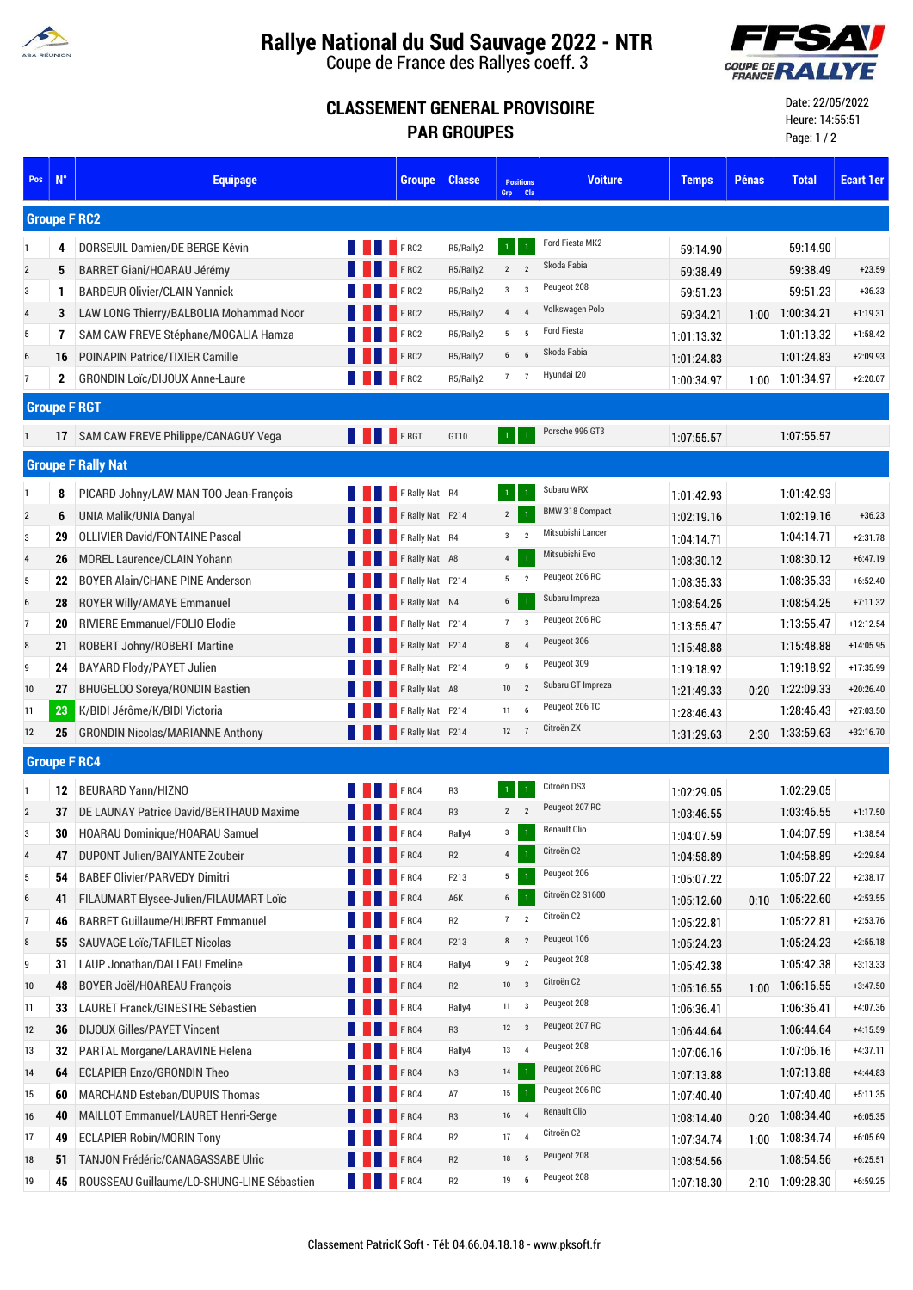

## **Rallye National du Sud Sauvage 2022 - NTR**

Coupe de France des Rallyes coeff. 3



## **CLASSEMENT GENERAL PROVISOIRE PAR GROUPES**

Date: 22/05/2022 Heure: 14:55:51 Page: 1 / 2

| Pos             | $N^{\circ}$  | <b>Equipage</b>                            |  | <b>Groupe</b>           | <b>Classe</b>  | <b>Positions</b><br>Grp Cla               | <b>Voiture</b>         | <b>Temps</b> | <b>Pénas</b> | <b>Total</b>      | <b>Ecart 1er</b> |
|-----------------|--------------|--------------------------------------------|--|-------------------------|----------------|-------------------------------------------|------------------------|--------------|--------------|-------------------|------------------|
|                 |              | <b>Groupe F RC2</b>                        |  |                         |                |                                           |                        |              |              |                   |                  |
|                 | 4            | DORSEUIL Damien/DE BERGE Kévin             |  | F <sub>RC2</sub>        | R5/Rally2      | $\mathbf{1}$                              | Ford Fiesta MK2        | 59:14.90     |              | 59:14.90          |                  |
| $\overline{2}$  | 5            | BARRET Giani/HOARAU Jérémy                 |  | F RC2                   | R5/Rally2      | $\overline{2}$<br>$\overline{2}$          | Skoda Fabia            | 59:38.49     |              | 59:38.49          | $+23.59$         |
| 3               | 1            | <b>BARDEUR Olivier/CLAIN Yannick</b>       |  | F RC2                   | R5/Rally2      | $\mathbf{3}$<br>$\overline{3}$            | Peugeot 208            | 59:51.23     |              | 59:51.23          | $+36.33$         |
| $\overline{4}$  | 3            | LAW LONG Thierry/BALBOLIA Mohammad Noor    |  | F RC2                   | R5/Rally2      | $\overline{4}$<br>$\overline{4}$          | Volkswagen Polo        | 59:34.21     | 1:00         | 1:00:34.21        | $+1:19.31$       |
| 5               | 7            | SAM CAW FREVE Stéphane/MOGALIA Hamza       |  | FRC2                    | R5/Rally2      | 5<br>5                                    | <b>Ford Fiesta</b>     | 1:01:13.32   |              | 1:01:13.32        | $+1:58.42$       |
| 6               | 16           | POINAPIN Patrice/TIXIER Camille            |  | F RC2                   | R5/Rally2      | 6<br>6                                    | Skoda Fabia            | 1:01:24.83   |              | 1:01:24.83        | $+2:09.93$       |
| $\overline{7}$  | $\mathbf{2}$ | <b>GRONDIN Loïc/DIJOUX Anne-Laure</b>      |  | FRC2                    | R5/Rally2      | 7<br>$\overline{7}$                       | Hyundai I20            | 1:00:34.97   | 1:00         | 1.01.34.97        | $+2:20.07$       |
|                 |              | <b>Groupe F RGT</b>                        |  |                         |                |                                           |                        |              |              |                   |                  |
|                 |              | 17 SAM CAW FREVE Philippe/CANAGUY Vega     |  | <b>EXAMPLE PROT</b>     | GT10           | $\mathbf{1}$                              | Porsche 996 GT3        | 1.07.55.57   |              | 1:07:55.57        |                  |
|                 |              | <b>Groupe F Rally Nat</b>                  |  |                         |                |                                           |                        |              |              |                   |                  |
|                 | 8            | PICARD Johny/LAW MAN TOO Jean-François     |  | <b>F</b> F Rally Nat R4 |                |                                           | Subaru WRX             | 1:01:42.93   |              | 1:01:42.93        |                  |
| $\overline{2}$  | 6            | UNIA Malik/UNIA Danyal                     |  | F Rally Nat F214        |                | $2^{\circ}$<br>$\overline{1}$             | <b>BMW 318 Compact</b> | 1:02:19.16   |              | 1:02:19.16        | $+36.23$         |
| 3               | 29           | <b>OLLIVIER David/FONTAINE Pascal</b>      |  | F Rally Nat R4          |                | $\overline{\mathbf{3}}$<br>$\overline{2}$ | Mitsubishi Lancer      | 1:04:14.71   |              | 1:04:14.71        | $+2:31.78$       |
| $\overline{4}$  | 26           | <b>MOREL Laurence/CLAIN Yohann</b>         |  | F Rally Nat A8          |                | 4                                         | Mitsubishi Evo         | 1:08:30.12   |              | 1:08:30.12        | $+6:47.19$       |
| 5               | 22           | <b>BOYER Alain/CHANE PINE Anderson</b>     |  | F Rally Nat F214        |                | 5<br>$\overline{2}$                       | Peugeot 206 RC         | 1:08:35.33   |              | 1:08:35.33        | $+6:52.40$       |
| $6\phantom{1}6$ | 28           | <b>ROYER Willy/AMAYE Emmanuel</b>          |  | F Rally Nat N4          |                | $6\overline{6}$<br>$\overline{1}$         | Subaru Impreza         | 1:08:54.25   |              | 1:08:54.25        | $+7:11.32$       |
| $\overline{7}$  | 20           | RIVIERE Emmanuel/FOLIO Elodie              |  | F Rally Nat F214        |                | 7                                         | Peugeot 206 RC         | 1:13:55.47   |              | 1:13:55.47        | $+12:12.54$      |
| 8               | 21           | <b>ROBERT Johny/ROBERT Martine</b>         |  | F Rally Nat F214        |                | 8<br>$\overline{4}$                       | Peugeot 306            | 1:15.48.88   |              | 1:15:48.88        | +14:05.95        |
| 9               | 24           | <b>BAYARD Flody/PAYET Julien</b>           |  | F Rally Nat F214        |                | 9<br>5                                    | Peugeot 309            | 1:19:18.92   |              | 1:19:18.92        | +17:35.99        |
| 10              | 27           | <b>BHUGELOO Soreya/RONDIN Bastien</b>      |  | F Rally Nat A8          |                | $10 \qquad 2$                             | Subaru GT Impreza      | 1:21:49.33   |              | 0:20 1:22:09.33   | $+20:26.40$      |
| 11              | 23           | K/BIDI Jérôme/K/BIDI Victoria              |  | F Rally Nat F214        |                | 11                                        | Peugeot 206 TC         | 1:28:46.43   |              | 1:28:46.43        | $+27:03.50$      |
| 12              | 25           | <b>GRONDIN Nicolas/MARIANNE Anthony</b>    |  | F Rally Nat F214        |                | $12 \overline{7}$                         | Citroën ZX             | 1:31:29.63   |              | 2:30 1:33:59.63   | +32:16.70        |
|                 |              | <b>Groupe F RC4</b>                        |  |                         |                |                                           |                        |              |              |                   |                  |
| -1              | 12           | <b>BEURARD Yann/HIZNO</b>                  |  | F <sub>RC4</sub>        | R <sub>3</sub> |                                           | Citroën DS3            | 1:02:29.05   |              | 1:02:29.05        |                  |
| $\overline{2}$  | 37           | DE LAUNAY Patrice David/BERTHAUD Maxime    |  | F <sub>RC4</sub>        | R <sub>3</sub> | $2^{\circ}$<br>$\overline{2}$             | Peugeot 207 RC         | 1:03:46.55   |              | 1:03:46.55        | $+1:17.50$       |
| $\overline{3}$  | 30           | HOARAU Dominique/HOARAU Samuel             |  | F <sub>RC4</sub>        | Rally4         | $\mathbf{3}$                              | Renault Clio           | 1:04:07.59   |              | 1:04:07.59        | $+1:38.54$       |
| $\overline{4}$  | 47           | DUPONT Julien/BAIYANTE Zoubeir             |  | F RC4                   | R2             | $\overline{4}$<br>$\mathbf{1}$            | Citroën C2             | 1:04:58.89   |              | 1:04:58.89        | $+2:29.84$       |
| 5               | 54           | <b>BABEF Olivier/PARVEDY Dimitri</b>       |  | F <sub>RC4</sub>        | F213           | 5 <sub>5</sub><br>$\overline{1}$          | Peugeot 206            | 1:05:07.22   |              | 1:05:07.22        | $+2:38.17$       |
| $6\phantom{1}6$ | 41           | FILAUMART Elysee-Julien/FILAUMART Loïc     |  | FRC4                    | A6K            | 6<br>$\overline{1}$                       | Citroën C2 S1600       | 1:05:12.60   |              | $0:10$ 1:05:22.60 | $+2:53.55$       |
| $\overline{7}$  | 46           | <b>BARRET Guillaume/HUBERT Emmanuel</b>    |  | FRC4                    | R <sub>2</sub> | 7<br>$\overline{2}$                       | Citroën C2             | 1:05:22.81   |              | 1:05:22.81        | $+2:53.76$       |
| 8               | 55           | SAUVAGE Loïc/TAFILET Nicolas               |  | FRC4                    | F213           | $\overline{2}$<br>8                       | Peugeot 106            | 1:05:24.23   |              | 1:05:24.23        | $+2:55.18$       |
| 9               | 31           | LAUP Jonathan/DALLEAU Emeline              |  | F <sub>RC4</sub>        | Rally4         | $9$ 2                                     | Peugeot 208            | 1:05:42.38   |              | 1:05:42.38        | $+3:13.33$       |
| 10              | 48           | <b>BOYER Joël/HOAREAU François</b>         |  | F RC4                   | R2             | $10 \qquad 3$                             | Citroën C2             | 1:05:16.55   |              | 1:00 1:06:16.55   | $+3:47.50$       |
| 11              | 33           | LAURET Franck/GINESTRE Sébastien           |  | F RC4                   | Rally4         | $11 \quad 3$                              | Peugeot 208            | 1:06:36.41   |              | 1:06:36.41        | +4:07.36         |
| 12              | 36           | <b>DIJOUX Gilles/PAYET Vincent</b>         |  | FRC4                    | R <sub>3</sub> | $12 \qquad 3$                             | Peugeot 207 RC         | 1:06:44.64   |              | 1:06:44.64        | $+4:15.59$       |
| 13              | 32           | PARTAL Morgane/LARAVINE Helena             |  | F RC4                   | Rally4         | 13<br>$\overline{4}$                      | Peugeot 208            | 1:07:06.16   |              | 1:07:06.16        | $+4:37.11$       |
| 14              | 64           | <b>ECLAPIER Enzo/GRONDIN Theo</b>          |  | FRC4                    | N <sub>3</sub> | 14                                        | Peugeot 206 RC         | 1:07:13.88   |              | 1:07:13.88        | $+4:44.83$       |
| 15              | 60           | <b>MARCHAND Esteban/DUPUIS Thomas</b>      |  | F RC4                   | A7             | 15                                        | Peugeot 206 RC         | 1:07:40.40   |              | 1:07:40.40        | $+5:11.35$       |
| 16              | 40           | MAILLOT Emmanuel/LAURET Henri-Serge        |  | F RC4                   | R <sub>3</sub> | 16 4                                      | <b>Renault Clio</b>    | 1:08:14.40   | 0:20         | 1:08:34.40        | $+6:05.35$       |
| 17              | 49           | <b>ECLAPIER Robin/MORIN Tony</b>           |  | FRC4                    | R2             | 17 4                                      | Citroën C2             | 1:07:34.74   |              | 1:00 1:08:34.74   | $+6:05.69$       |
| 18              | 51           | TANJON Frédéric/CANAGASSABE Ulric          |  | FRC4                    | R <sub>2</sub> | 18 5                                      | Peugeot 208            | 1:08:54.56   |              | 1:08:54.56        | $+6:25.51$       |
| 19              | 45           | ROUSSEAU Guillaume/LO-SHUNG-LINE Sébastien |  | <b>FRC4</b>             | R <sub>2</sub> | 19 6                                      | Peugeot 208            | 1:07:18.30   |              | 2:10 1:09:28.30   | $+6:59.25$       |